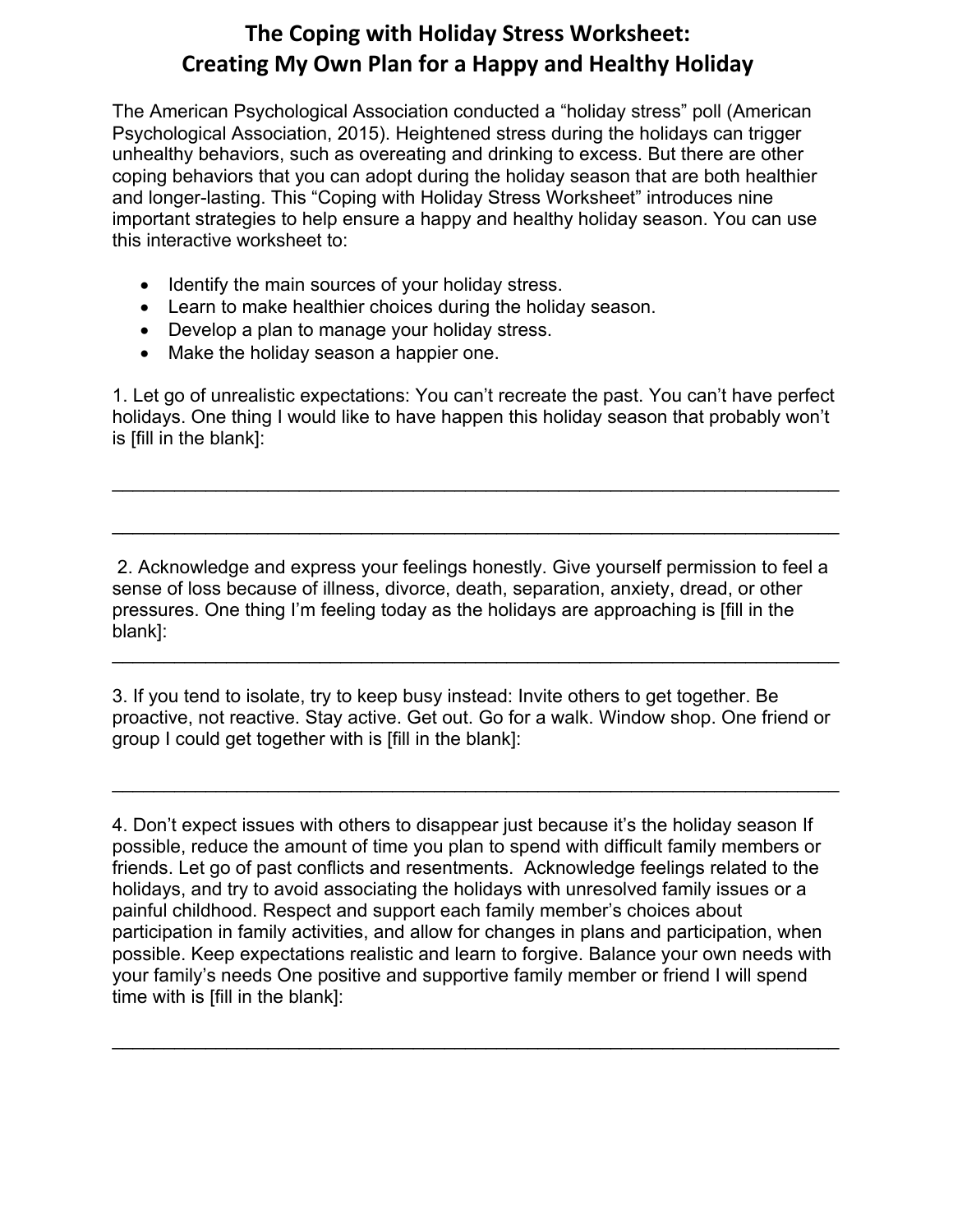## **The Coping with Holiday Stress Worksheet: Creating My Own Plan for a Happy and Healthy Holiday**

The American Psychological Association conducted a "holiday stress" poll (American Psychological Association, 2015). Heightened stress during the holidays can trigger unhealthy behaviors, such as overeating and drinking to excess. But there are other coping behaviors that you can adopt during the holiday season that are both healthier and longer-lasting. This "Coping with Holiday Stress Worksheet" introduces nine important strategies to help ensure a happy and healthy holiday season. You can use this interactive worksheet to: **Season**

- Identify the main sources of your holiday stress.
- Learn to make healthier choices during the holiday season.
- Develop a plan to manage your holiday stress.
- Make the holiday season a happier one.

1. Let go of unrealistic expectations: You can't recreate the past. You can't have perfect holidays. One thing I would like to have happen this holiday season that probably won't is [fill in the blank]:

 $\mathcal{L}_\text{max} = \mathcal{L}_\text{max} = \mathcal{L}_\text{max} = \mathcal{L}_\text{max} = \mathcal{L}_\text{max} = \mathcal{L}_\text{max} = \mathcal{L}_\text{max} = \mathcal{L}_\text{max} = \mathcal{L}_\text{max} = \mathcal{L}_\text{max} = \mathcal{L}_\text{max} = \mathcal{L}_\text{max} = \mathcal{L}_\text{max} = \mathcal{L}_\text{max} = \mathcal{L}_\text{max} = \mathcal{L}_\text{max} = \mathcal{L}_\text{max} = \mathcal{L}_\text{max} = \mathcal{$ 

\_\_\_\_\_\_\_\_\_\_\_\_\_\_\_\_\_\_\_\_\_\_\_\_\_\_\_\_\_\_\_\_\_\_\_\_\_\_\_\_\_\_\_\_\_\_\_\_\_\_\_\_\_\_\_\_\_\_\_\_\_\_\_\_\_\_\_\_\_\_

2. Acknowledge and express your feelings honestly. Give yourself permission to feel a sense of loss because of illness, divorce, death, separation, anxiety, dread, or other pressures. One thing I'm feeling today as the holidays are approaching is [fill in the blank]:

 $\mathcal{L}_\text{max} = \mathcal{L}_\text{max} = \mathcal{L}_\text{max} = \mathcal{L}_\text{max} = \mathcal{L}_\text{max} = \mathcal{L}_\text{max} = \mathcal{L}_\text{max} = \mathcal{L}_\text{max} = \mathcal{L}_\text{max} = \mathcal{L}_\text{max} = \mathcal{L}_\text{max} = \mathcal{L}_\text{max} = \mathcal{L}_\text{max} = \mathcal{L}_\text{max} = \mathcal{L}_\text{max} = \mathcal{L}_\text{max} = \mathcal{L}_\text{max} = \mathcal{L}_\text{max} = \mathcal{$ 

3. If you tend to isolate, try to keep busy instead: Invite others to get together. Be proactive, not reactive. Stay active. Get out. Go for a walk. Window shop. One friend or group I could get together with is [fill in the blank]:

 $\mathcal{L}_\text{max} = \mathcal{L}_\text{max} = \mathcal{L}_\text{max} = \mathcal{L}_\text{max} = \mathcal{L}_\text{max} = \mathcal{L}_\text{max} = \mathcal{L}_\text{max} = \mathcal{L}_\text{max} = \mathcal{L}_\text{max} = \mathcal{L}_\text{max} = \mathcal{L}_\text{max} = \mathcal{L}_\text{max} = \mathcal{L}_\text{max} = \mathcal{L}_\text{max} = \mathcal{L}_\text{max} = \mathcal{L}_\text{max} = \mathcal{L}_\text{max} = \mathcal{L}_\text{max} = \mathcal{$ 

4. Don't expect issues with others to disappear just because it's the holiday season If possible, reduce the amount of time you plan to spend with difficult family members or friends. Let go of past conflicts and resentments. Acknowledge feelings related to the holidays, and try to avoid associating the holidays with unresolved family issues or a painful childhood. Respect and support each family member's choices about participation in family activities, and allow for changes in plans and participation, when possible. Keep expectations realistic and learn to forgive. Balance your own needs with your family's needs One positive and supportive family member or friend I will spend time with is [fill in the blank]:

\_\_\_\_\_\_\_\_\_\_\_\_\_\_\_\_\_\_\_\_\_\_\_\_\_\_\_\_\_\_\_\_\_\_\_\_\_\_\_\_\_\_\_\_\_\_\_\_\_\_\_\_\_\_\_\_\_\_\_\_\_\_\_\_\_\_\_\_\_\_